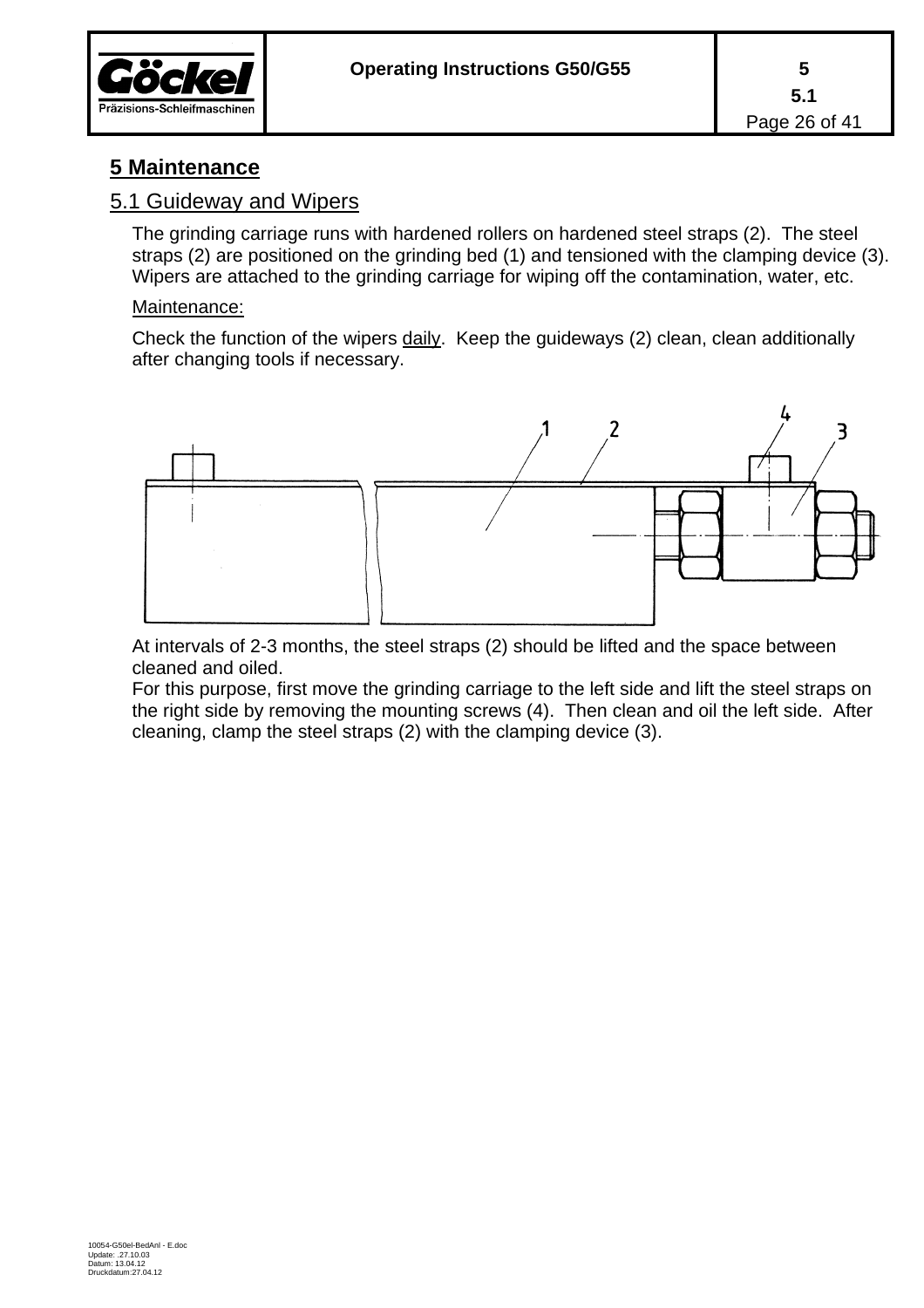

## **5 Maintenance**

#### 5.1 Guideway and Wipers

The grinding carriage runs with hardened rollers on hardened steel straps (2). The steel straps (2) are positioned on the grinding bed (1) and tensioned with the clamping device (3). Wipers are attached to the grinding carriage for wiping off the contamination, water, etc.

#### Maintenance:

Check the function of the wipers daily. Keep the guideways (2) clean, clean additionally after changing tools if necessary.



At intervals of 2-3 months, the steel straps (2) should be lifted and the space between cleaned and oiled.

For this purpose, first move the grinding carriage to the left side and lift the steel straps on the right side by removing the mounting screws (4). Then clean and oil the left side. After cleaning, clamp the steel straps (2) with the clamping device (3).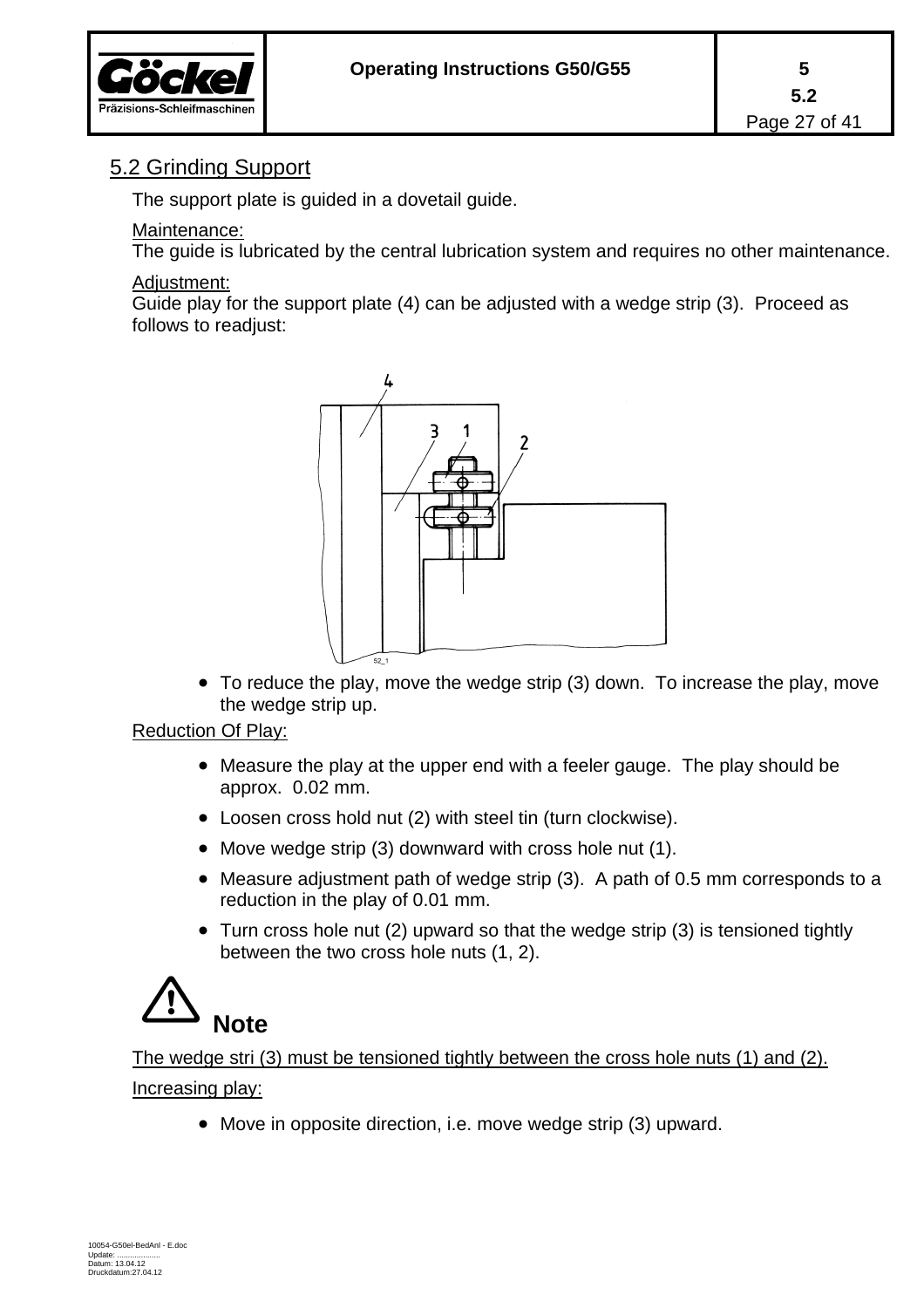

## 5.2 Grinding Support

The support plate is guided in a dovetail guide.

#### Maintenance:

The guide is lubricated by the central lubrication system and requires no other maintenance.

#### Adiustment:

Guide play for the support plate (4) can be adjusted with a wedge strip (3). Proceed as follows to readjust:



 To reduce the play, move the wedge strip (3) down. To increase the play, move the wedge strip up.

#### Reduction Of Play:

- Measure the play at the upper end with a feeler gauge. The play should be approx. 0.02 mm.
- Loosen cross hold nut (2) with steel tin (turn clockwise).
- Move wedge strip (3) downward with cross hole nut (1).
- Measure adjustment path of wedge strip (3). A path of 0.5 mm corresponds to a reduction in the play of 0.01 mm.
- Turn cross hole nut (2) upward so that the wedge strip (3) is tensioned tightly between the two cross hole nuts (1, 2).

## **Note**

The wedge stri (3) must be tensioned tightly between the cross hole nuts (1) and (2). Increasing play:

Move in opposite direction, i.e. move wedge strip (3) upward.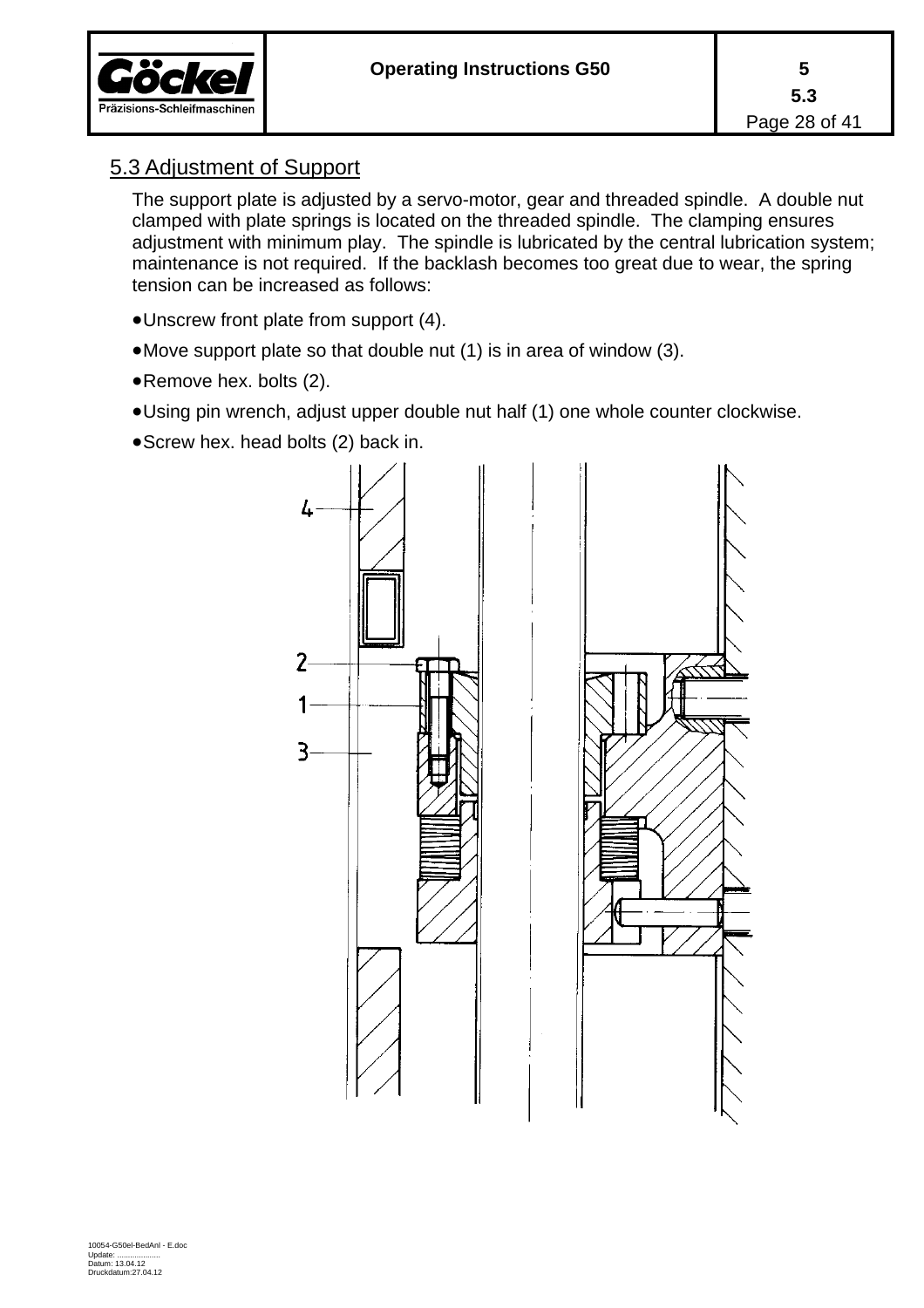



## 5.3 Adjustment of Support

The support plate is adjusted by a servo-motor, gear and threaded spindle. A double nut clamped with plate springs is located on the threaded spindle. The clamping ensures adjustment with minimum play. The spindle is lubricated by the central lubrication system; maintenance is not required. If the backlash becomes too great due to wear, the spring tension can be increased as follows:

- Unscrew front plate from support (4).
- Move support plate so that double nut (1) is in area of window (3).
- Remove hex. bolts (2).
- Using pin wrench, adjust upper double nut half (1) one whole counter clockwise.
- Screw hex. head bolts (2) back in.

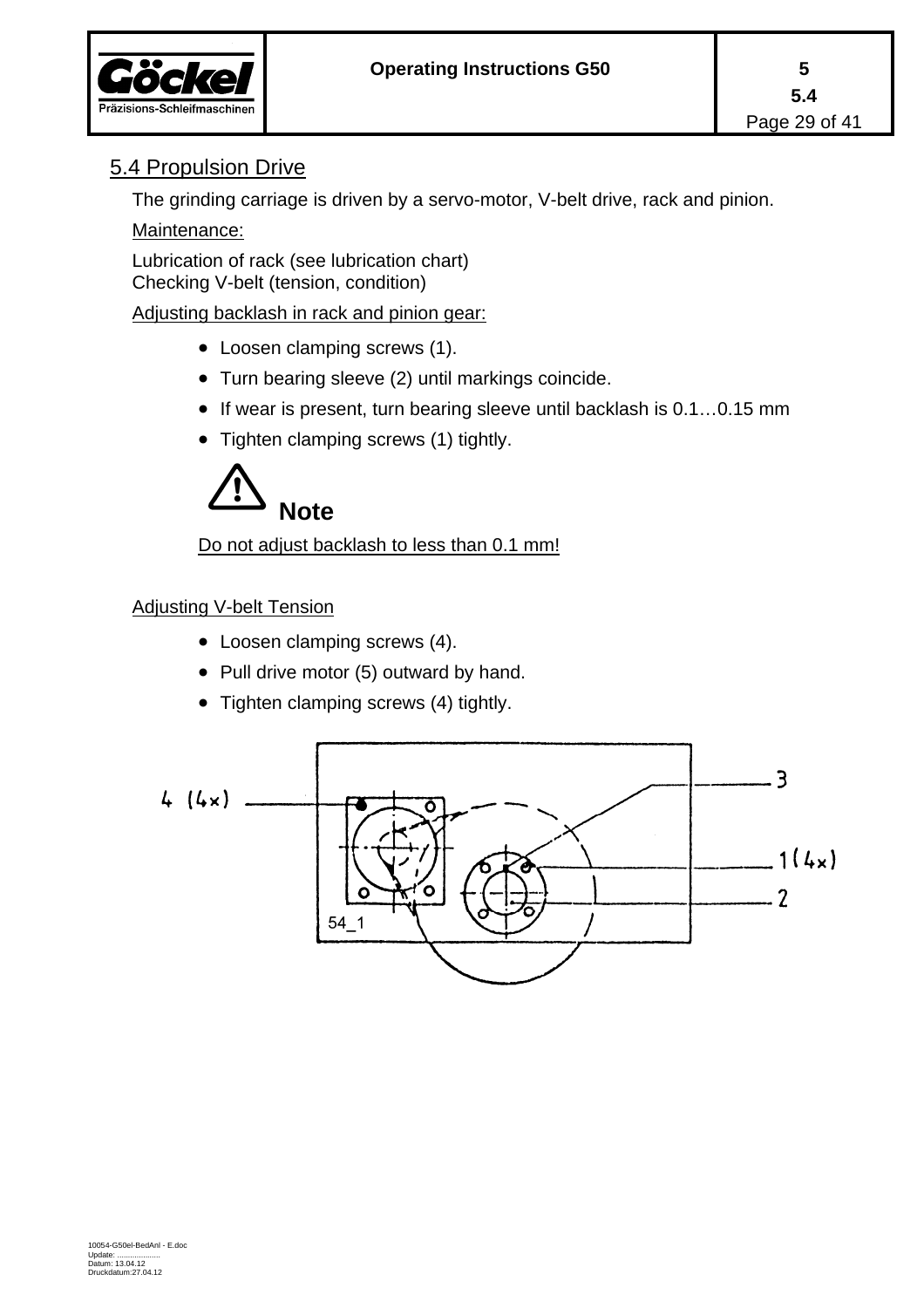

## 5.4 Propulsion Drive

The grinding carriage is driven by a servo-motor, V-belt drive, rack and pinion.

#### Maintenance:

Lubrication of rack (see lubrication chart) Checking V-belt (tension, condition)

Adjusting backlash in rack and pinion gear:

- Loosen clamping screws (1).
- Turn bearing sleeve (2) until markings coincide.
- $\bullet$  If wear is present, turn bearing sleeve until backlash is 0.1...0.15 mm
- Tighten clamping screws (1) tightly.



Do not adjust backlash to less than 0.1 mm!

#### Adjusting V-belt Tension

- Loosen clamping screws (4).
- Pull drive motor (5) outward by hand.
- Tighten clamping screws (4) tightly.

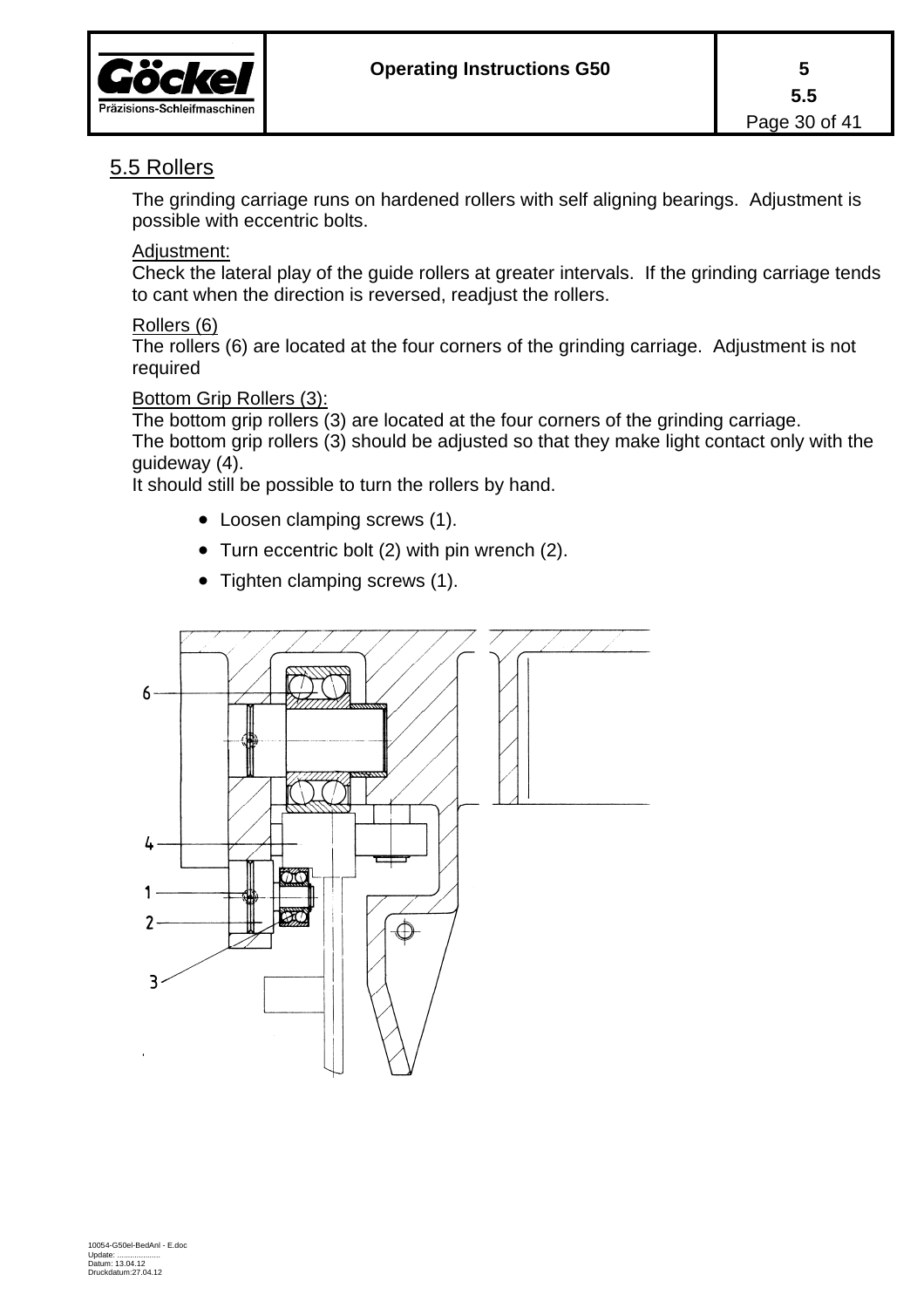

## 5.5 Rollers

The grinding carriage runs on hardened rollers with self aligning bearings. Adjustment is possible with eccentric bolts.

#### Adjustment:

Check the lateral play of the guide rollers at greater intervals. If the grinding carriage tends to cant when the direction is reversed, readjust the rollers.

#### Rollers (6)

The rollers (6) are located at the four corners of the grinding carriage. Adjustment is not required

#### Bottom Grip Rollers (3):

The bottom grip rollers (3) are located at the four corners of the grinding carriage.

The bottom grip rollers (3) should be adjusted so that they make light contact only with the guideway (4).

It should still be possible to turn the rollers by hand.

- Loosen clamping screws (1).
- Turn eccentric bolt (2) with pin wrench (2).
- Tighten clamping screws (1).

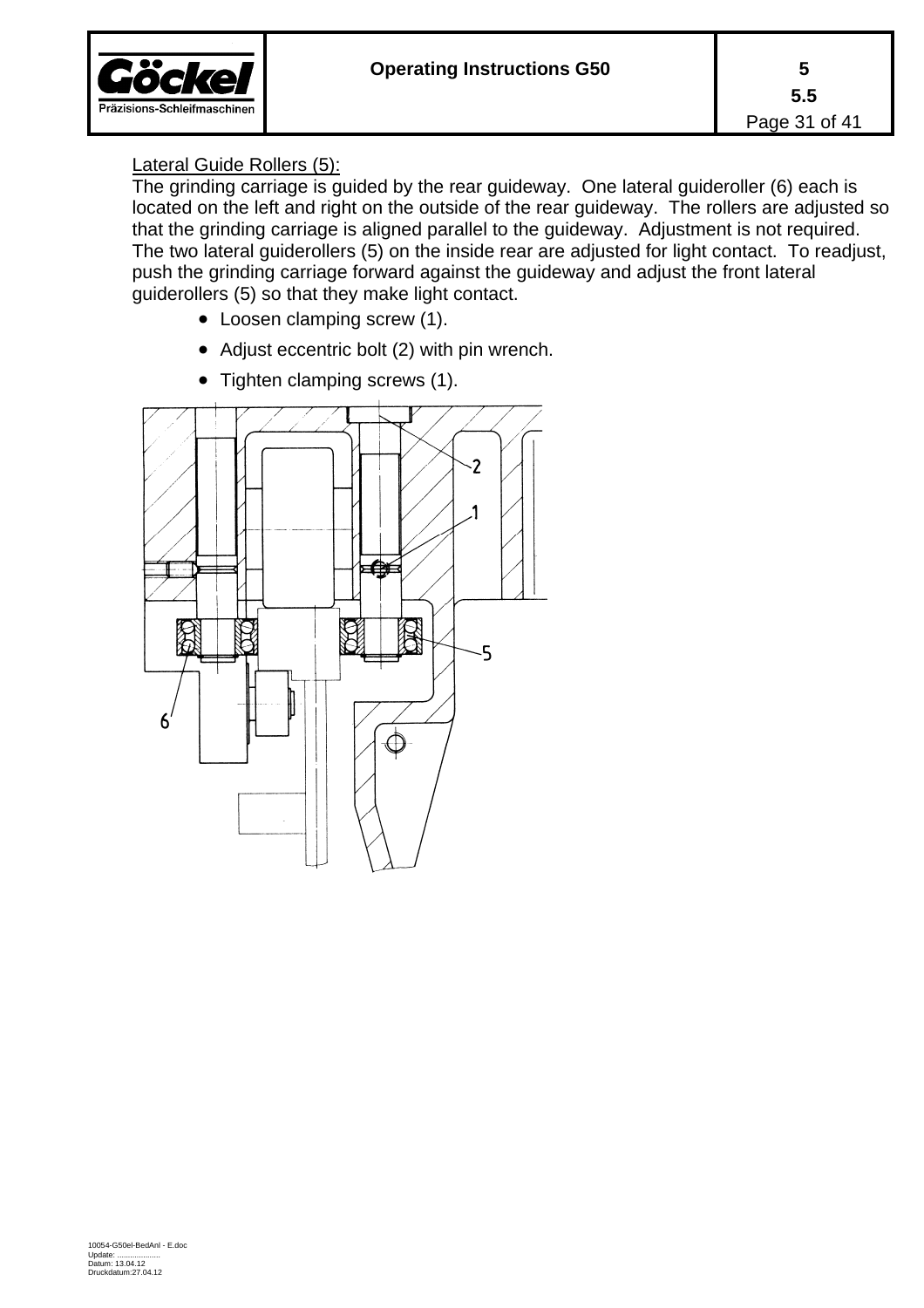

#### Lateral Guide Rollers (5):

The grinding carriage is guided by the rear guideway. One lateral guideroller (6) each is located on the left and right on the outside of the rear guideway. The rollers are adjusted so that the grinding carriage is aligned parallel to the guideway. Adjustment is not required. The two lateral guiderollers (5) on the inside rear are adjusted for light contact. To readjust, push the grinding carriage forward against the guideway and adjust the front lateral guiderollers (5) so that they make light contact.

- Loosen clamping screw (1).
- Adjust eccentric bolt (2) with pin wrench.



• Tighten clamping screws (1).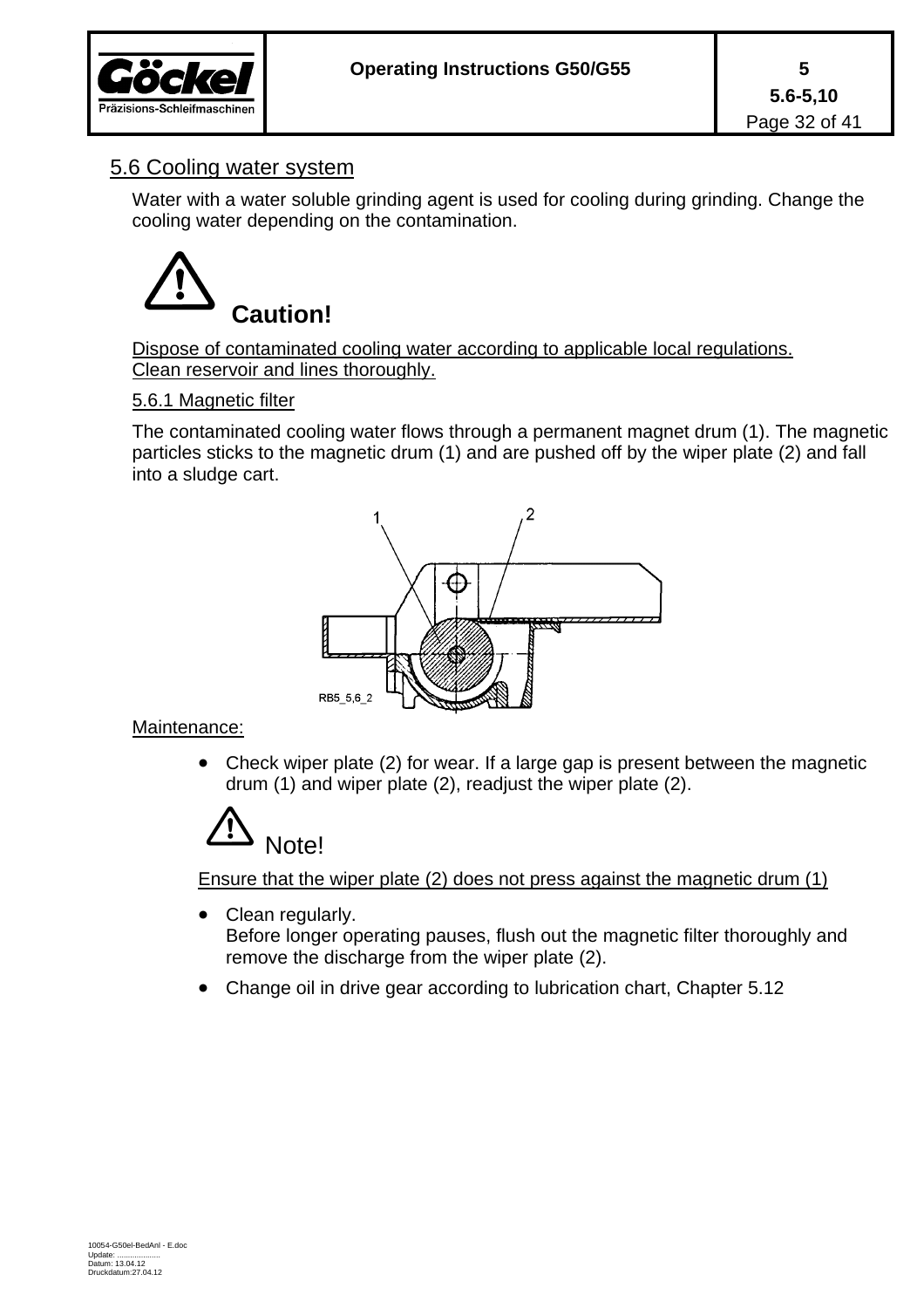

## 5.6 Cooling water system

Water with a water soluble grinding agent is used for cooling during grinding. Change the cooling water depending on the contamination.



Dispose of contaminated cooling water according to applicable local regulations. Clean reservoir and lines thoroughly.

#### 5.6.1 Magnetic filter

The contaminated cooling water flows through a permanent magnet drum (1). The magnetic particles sticks to the magnetic drum (1) and are pushed off by the wiper plate (2) and fall into a sludge cart.



#### Maintenance:

• Check wiper plate (2) for wear. If a large gap is present between the magnetic drum (1) and wiper plate (2), readjust the wiper plate (2).



Ensure that the wiper plate (2) does not press against the magnetic drum (1)

- Clean regularly. Before longer operating pauses, flush out the magnetic filter thoroughly and remove the discharge from the wiper plate (2).
- Change oil in drive gear according to lubrication chart, Chapter 5.12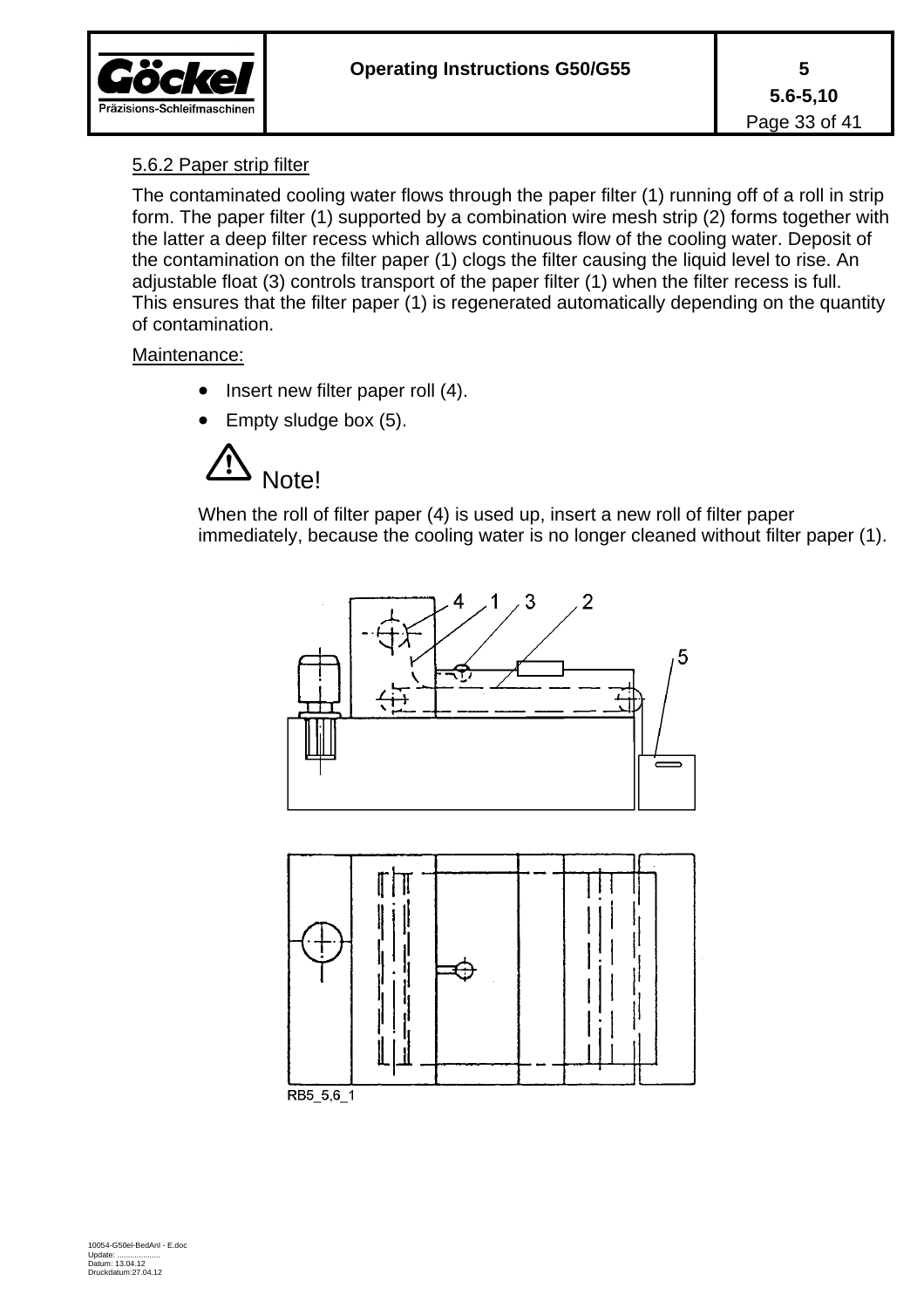

#### 5.6.2 Paper strip filter

The contaminated cooling water flows through the paper filter (1) running off of a roll in strip form. The paper filter (1) supported by a combination wire mesh strip (2) forms together with the latter a deep filter recess which allows continuous flow of the cooling water. Deposit of the contamination on the filter paper (1) clogs the filter causing the liquid level to rise. An adjustable float (3) controls transport of the paper filter (1) when the filter recess is full. This ensures that the filter paper (1) is regenerated automatically depending on the quantity of contamination.

#### Maintenance:

- Insert new filter paper roll (4).
- Empty sludge box (5).



When the roll of filter paper (4) is used up, insert a new roll of filter paper immediately, because the cooling water is no longer cleaned without filter paper (1).